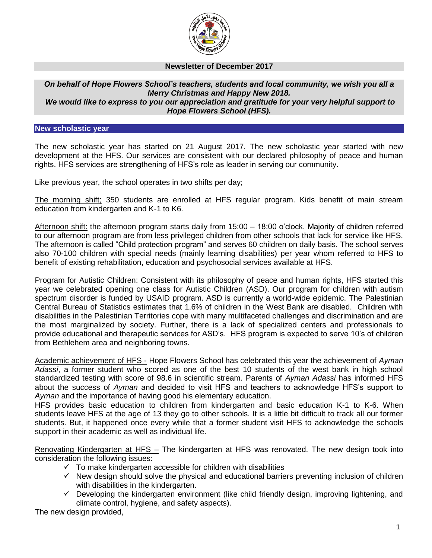

## **Newsletter of December 2017**

## *On behalf of Hope Flowers School's teachers, students and local community, we wish you all a Merry Christmas and Happy New 2018. We would like to express to you our appreciation and gratitude for your very helpful support to Hope Flowers School (HFS).*

## **New scholastic year**

The new scholastic year has started on 21 August 2017. The new scholastic year started with new development at the HFS. Our services are consistent with our declared philosophy of peace and human rights. HFS services are strengthening of HFS's role as leader in serving our community.

Like previous year, the school operates in two shifts per day;

The morning shift; 350 students are enrolled at HFS regular program. Kids benefit of main stream education from kindergarten and K-1 to K6.

Afternoon shift: the afternoon program starts daily from 15:00 – 18:00 o'clock. Majority of children referred to our afternoon program are from less privileged children from other schools that lack for service like HFS. The afternoon is called "Child protection program" and serves 60 children on daily basis. The school serves also 70-100 children with special needs (mainly learning disabilities) per year whom referred to HFS to benefit of existing rehabilitation, education and psychosocial services available at HFS.

Program for Autistic Children: Consistent with its philosophy of peace and human rights, HFS started this year we celebrated opening one class for Autistic Children (ASD). Our program for children with autism spectrum disorder is funded by USAID program. ASD is currently a world-wide epidemic. The Palestinian Central Bureau of Statistics estimates that 1.6% of children in the West Bank are disabled. Children with disabilities in the Palestinian Territories cope with many multifaceted challenges and discrimination and are the most marginalized by society. Further, there is a lack of specialized centers and professionals to provide educational and therapeutic services for ASD's. HFS program is expected to serve 10's of children from Bethlehem area and neighboring towns.

Academic achievement of HFS - Hope Flowers School has celebrated this year the achievement of *Ayman Adassi*, a former student who scored as one of the best 10 students of the west bank in high school standardized testing with score of 98.6 in scientific stream. Parents of *Ayman Adassi* has informed HFS about the success of *Ayman* and decided to visit HFS and teachers to acknowledge HFS's support to *Ayman* and the importance of having good his elementary education.

HFS provides basic education to children from kindergarten and basic education K-1 to K-6. When students leave HFS at the age of 13 they go to other schools. It is a little bit difficult to track all our former students. But, it happened once every while that a former student visit HFS to acknowledge the schools support in their academic as well as individual life.

Renovating Kindergarten at HFS – The kindergarten at HFS was renovated. The new design took into consideration the following issues:

- $\checkmark$  To make kindergarten accessible for children with disabilities
- $\checkmark$  New design should solve the physical and educational barriers preventing inclusion of children with disabilities in the kindergarten.
- $\checkmark$  Developing the kindergarten environment (like child friendly design, improving lightening, and climate control, hygiene, and safety aspects).

The new design provided,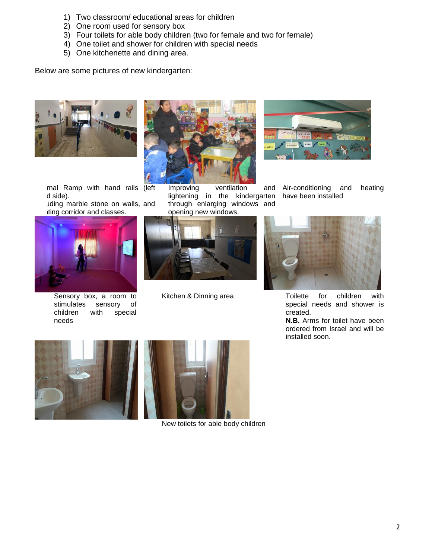- 1) Two classroom/ educational areas for children
- 2) One room used for sensory box
- 3) Four toilets for able body children (two for female and two for female)
- 4) One toilet and shower for children with special needs
- 5) One kitchenette and dining area.

Below are some pictures of new kindergarten:



rnal Ramp with hand rails (left d side).

uding marble stone on walls, and iting corridor and classes.



Sensory box, a room to stimulates sensory of children with special needs



Improving ventilation and lightening in the kindergarten through enlarging windows and opening new windows.





Air-conditioning and heating have been installed



Kitchen & Dinning area Toilette for children with special needs and shower is created.

**N.B.** Arms for toilet have been ordered from Israel and will be installed soon.





New toilets for able body children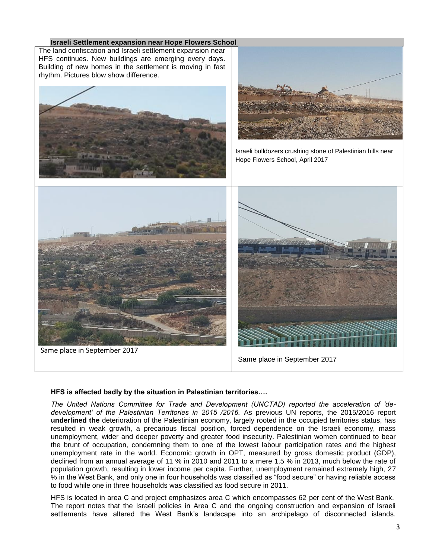

## **HFS is affected badly by the situation in Palestinian territories….**

*The United Nations Committee for Trade and Development (UNCTAD) reported the acceleration of 'dedevelopment' of the Palestinian Territories in 2015 /2016.* As previous UN reports, the 2015/2016 report **underlined the** deterioration of the Palestinian economy, largely rooted in the occupied territories status, has resulted in weak growth, a precarious fiscal position, forced dependence on the Israeli economy, mass unemployment, wider and deeper poverty and greater food insecurity. Palestinian women continued to bear the brunt of occupation, condemning them to one of the lowest labour participation rates and the highest unemployment rate in the world. Economic growth in OPT, measured by gross domestic product (GDP), declined from an annual average of 11 % in 2010 and 2011 to a mere 1.5 % in 2013, much below the rate of population growth, resulting in lower income per capita. Further, unemployment remained extremely high, 27 % in the West Bank, and only one in four households was classified as "food secure" or having reliable access to food while one in three households was classified as food secure in 2011.

HFS is located in area C and project emphasizes area C which encompasses 62 per cent of the West Bank. The report notes that the Israeli policies in Area C and the ongoing construction and expansion of Israeli settlements have altered the West Bank's landscape into an archipelago of disconnected islands.